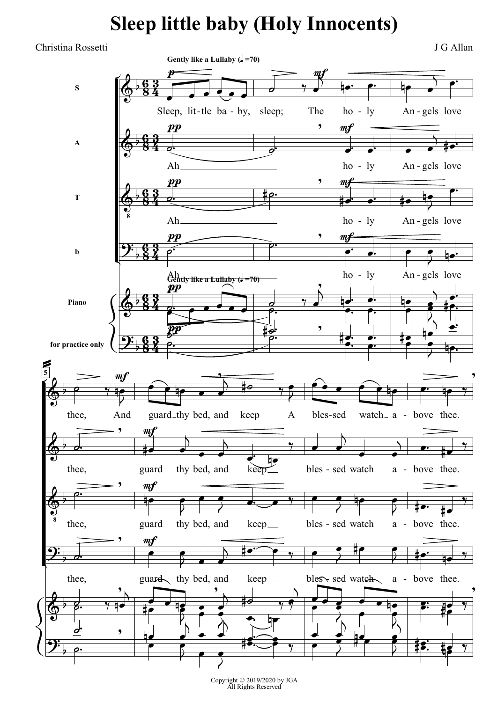## **Sleep little baby (Holy Innocents)**

Christina Rossetti J G Allan



Copyright © 2019/2020 by JGA All Rights Reserved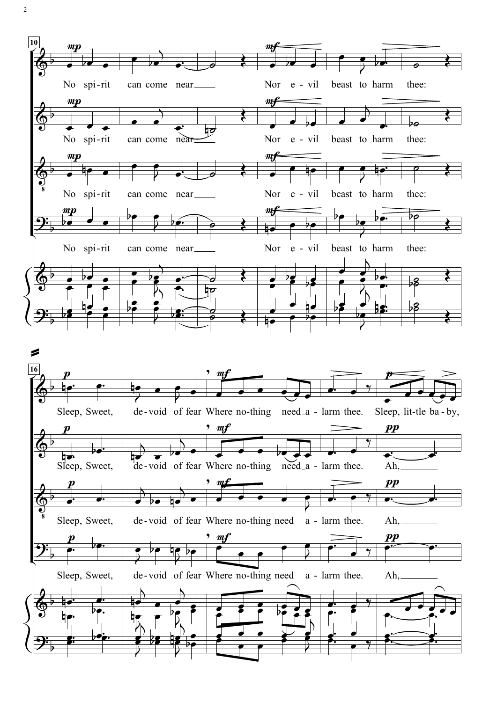

2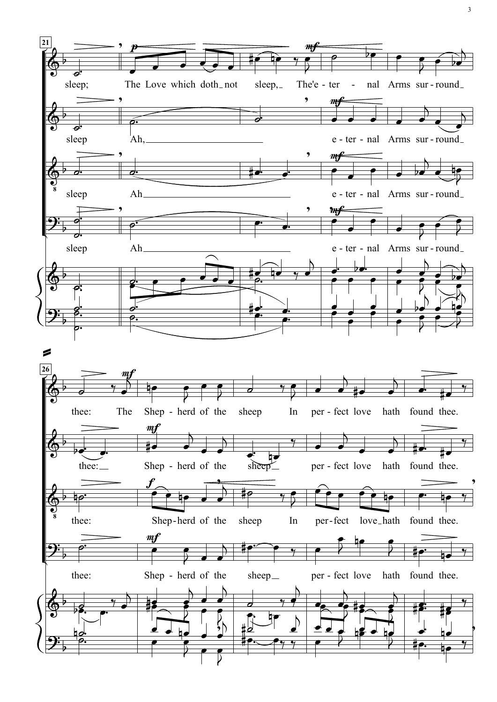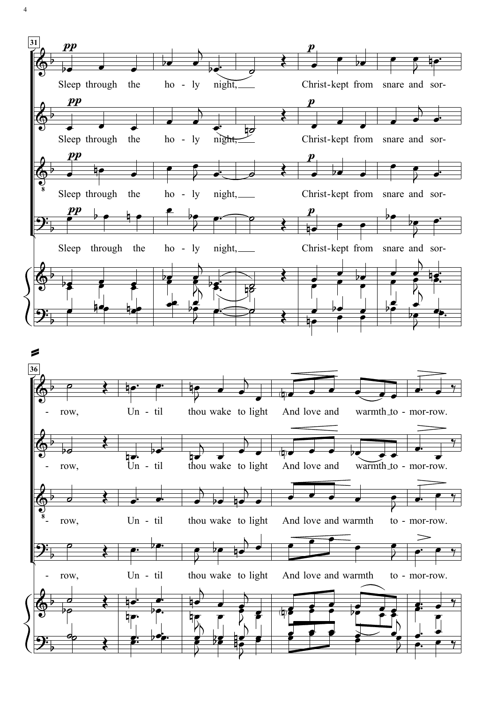

4